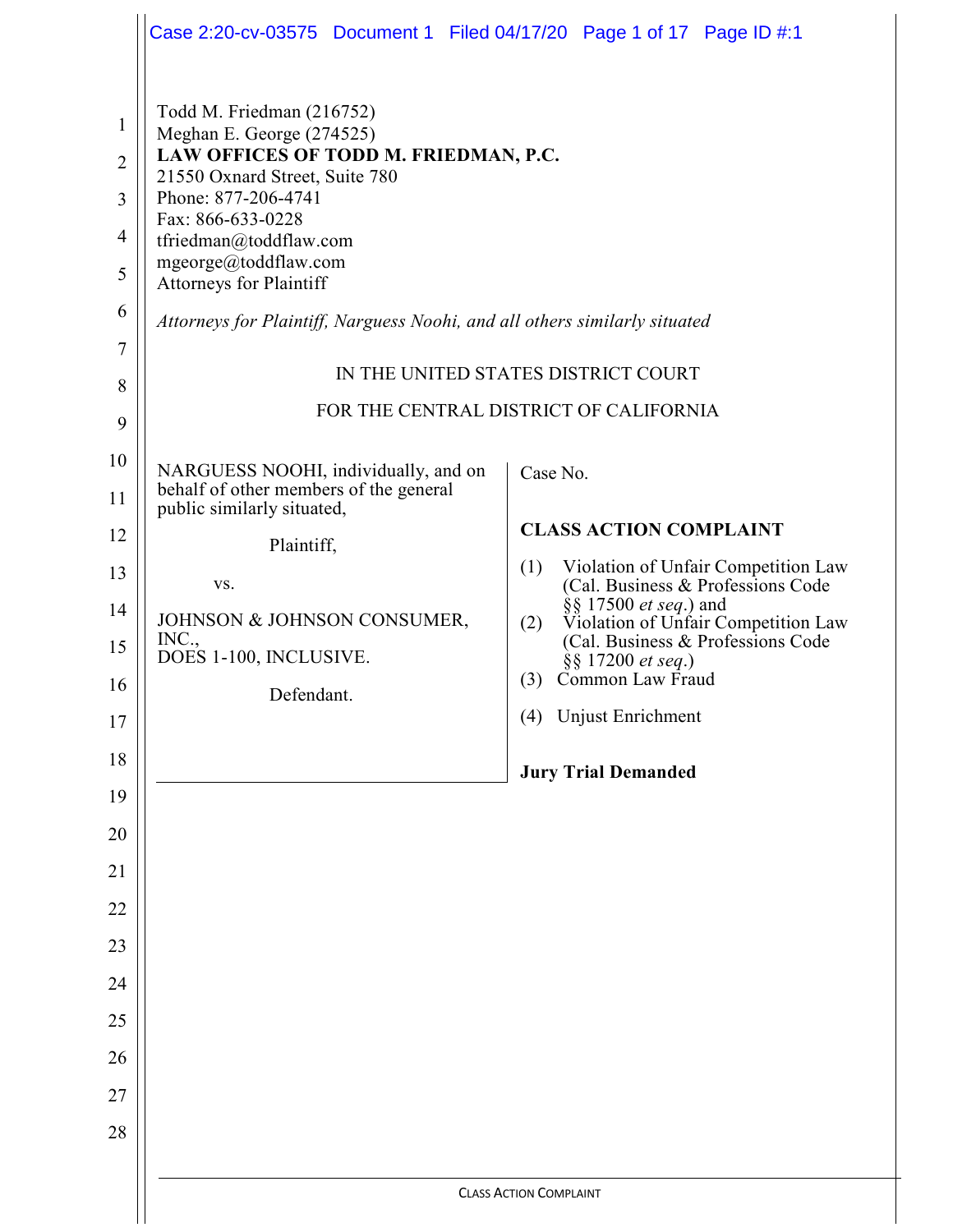|                                     | Case 2:20-cv-03575 Document 1 Filed 04/17/20 Page 1 of 17 Page ID #:1                                                                                                         |                                                                                 |  |  |
|-------------------------------------|-------------------------------------------------------------------------------------------------------------------------------------------------------------------------------|---------------------------------------------------------------------------------|--|--|
| $\mathbf{1}$<br>$\overline{2}$<br>3 | Todd M. Friedman (216752)<br>Meghan E. George (274525)<br>LAW OFFICES OF TODD M. FRIEDMAN, P.C.<br>21550 Oxnard Street, Suite 780<br>Phone: 877-206-4741<br>Fax: 866-633-0228 |                                                                                 |  |  |
| 4<br>5                              | tfriedman@toddflaw.com<br>mgeorge@toddflaw.com<br><b>Attorneys for Plaintiff</b>                                                                                              |                                                                                 |  |  |
| 6<br>7                              | Attorneys for Plaintiff, Narguess Noohi, and all others similarly situated                                                                                                    |                                                                                 |  |  |
| 8                                   | IN THE UNITED STATES DISTRICT COURT                                                                                                                                           |                                                                                 |  |  |
| 9                                   | FOR THE CENTRAL DISTRICT OF CALIFORNIA                                                                                                                                        |                                                                                 |  |  |
| 10<br>11                            | NARGUESS NOOHI, individually, and on<br>behalf of other members of the general                                                                                                | Case No.                                                                        |  |  |
| 12                                  | public similarly situated,<br>Plaintiff,                                                                                                                                      | <b>CLASS ACTION COMPLAINT</b>                                                   |  |  |
| 13                                  | VS.                                                                                                                                                                           | (1)<br>Violation of Unfair Competition Law<br>(Cal. Business & Professions Code |  |  |
| 14                                  | JOHNSON & JOHNSON CONSUMER,                                                                                                                                                   | §§ 17500 <i>et seq.</i> ) and<br>Violation of Unfair Competition Law<br>(2)     |  |  |
| 15                                  | INC.,<br>DOES 1-100, INCLUSIVE.                                                                                                                                               | (Cal. Business & Professions Code<br>$\S$ 17200 <i>et seq.</i> )                |  |  |
| 16                                  | Defendant.                                                                                                                                                                    | Common Law Fraud<br>(3)                                                         |  |  |
| 17                                  |                                                                                                                                                                               | (4) Unjust Enrichment                                                           |  |  |
| 18<br>19                            |                                                                                                                                                                               | <b>Jury Trial Demanded</b>                                                      |  |  |
| 20                                  |                                                                                                                                                                               |                                                                                 |  |  |
| 21                                  |                                                                                                                                                                               |                                                                                 |  |  |
| 22                                  |                                                                                                                                                                               |                                                                                 |  |  |
| 23                                  |                                                                                                                                                                               |                                                                                 |  |  |
| 24                                  |                                                                                                                                                                               |                                                                                 |  |  |
| 25                                  |                                                                                                                                                                               |                                                                                 |  |  |
| 26                                  |                                                                                                                                                                               |                                                                                 |  |  |
| 27<br>28                            |                                                                                                                                                                               |                                                                                 |  |  |
|                                     |                                                                                                                                                                               |                                                                                 |  |  |
|                                     | <b>CLASS ACTION COMPLAINT</b>                                                                                                                                                 |                                                                                 |  |  |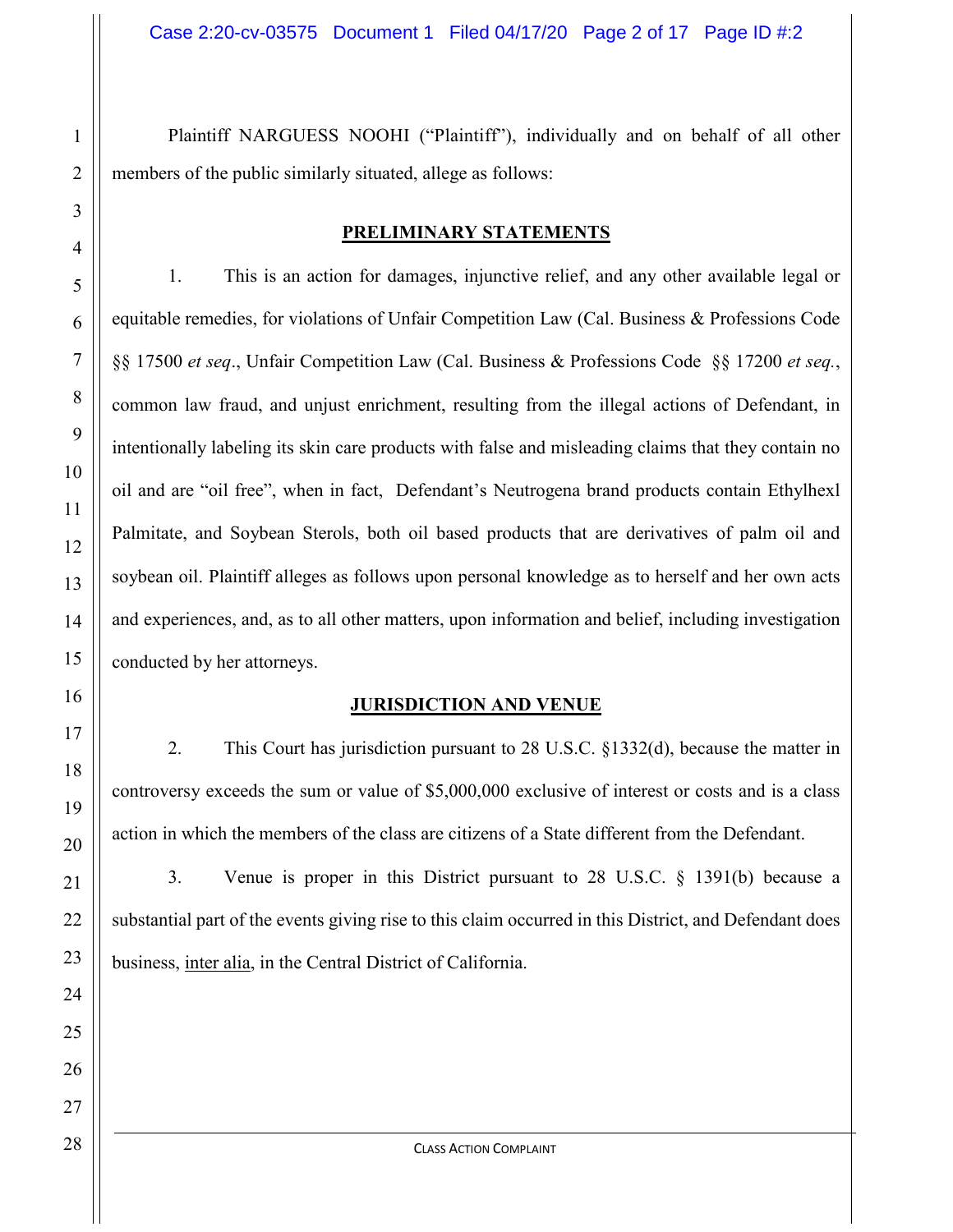Plaintiff NARGUESS NOOHI ("Plaintiff"), individually and on behalf of all other members of the public similarly situated, allege as follows:

#### **PRELIMINARY STATEMENTS**

1. This is an action for damages, injunctive relief, and any other available legal or equitable remedies, for violations of Unfair Competition Law (Cal. Business & Professions Code §§ 17500 *et seq*., Unfair Competition Law (Cal. Business & Professions Code §§ 17200 *et seq.*, common law fraud, and unjust enrichment, resulting from the illegal actions of Defendant, in intentionally labeling its skin care products with false and misleading claims that they contain no oil and are "oil free", when in fact, Defendant's Neutrogena brand products contain Ethylhexl Palmitate, and Soybean Sterols, both oil based products that are derivatives of palm oil and soybean oil. Plaintiff alleges as follows upon personal knowledge as to herself and her own acts and experiences, and, as to all other matters, upon information and belief, including investigation conducted by her attorneys.

#### **JURISDICTION AND VENUE**

2. This Court has jurisdiction pursuant to 28 U.S.C. §1332(d), because the matter in controversy exceeds the sum or value of \$5,000,000 exclusive of interest or costs and is a class action in which the members of the class are citizens of a State different from the Defendant.

3. Venue is proper in this District pursuant to 28 U.S.C. § 1391(b) because a substantial part of the events giving rise to this claim occurred in this District, and Defendant does business, inter alia, in the Central District of California.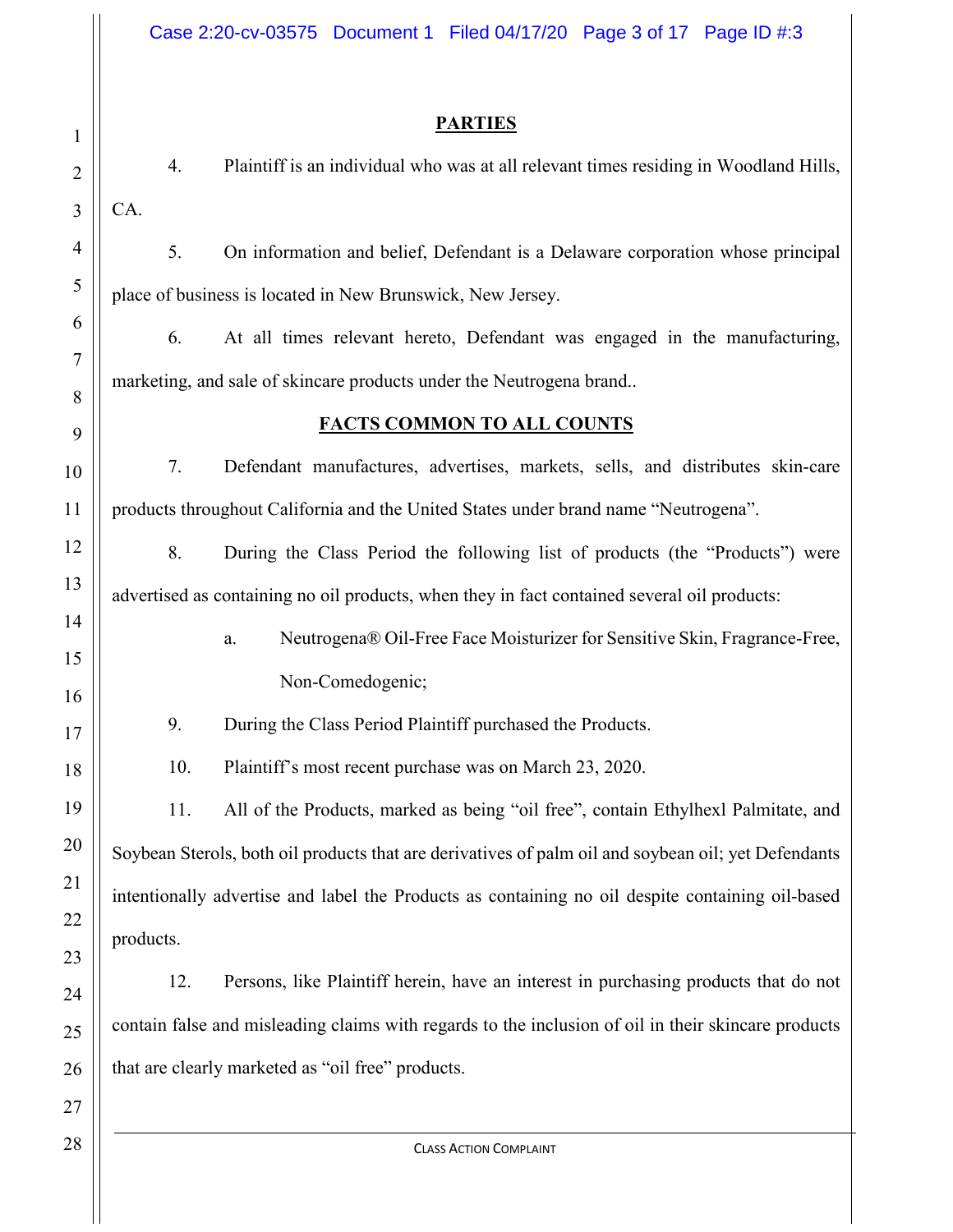## **PARTIES**

4. Plaintiff is an individual who was at all relevant times residing in Woodland Hills, CA.

5. On information and belief, Defendant is a Delaware corporation whose principal place of business is located in New Brunswick, New Jersey.

6. At all times relevant hereto, Defendant was engaged in the manufacturing, marketing, and sale of skincare products under the Neutrogena brand..

# **FACTS COMMON TO ALL COUNTS**

7. Defendant manufactures, advertises, markets, sells, and distributes skin-care products throughout California and the United States under brand name "Neutrogena".

8. During the Class Period the following list of products (the "Products") were advertised as containing no oil products, when they in fact contained several oil products:

> a. Neutrogena® Oil-Free Face Moisturizer for Sensitive Skin, Fragrance-Free, Non-Comedogenic;

9. During the Class Period Plaintiff purchased the Products.

10. Plaintiff's most recent purchase was on March 23, 2020.

11. All of the Products, marked as being "oil free", contain Ethylhexl Palmitate, and Soybean Sterols, both oil products that are derivatives of palm oil and soybean oil; yet Defendants intentionally advertise and label the Products as containing no oil despite containing oil-based products.

12. Persons, like Plaintiff herein, have an interest in purchasing products that do not contain false and misleading claims with regards to the inclusion of oil in their skincare products that are clearly marketed as "oil free" products.

1

2

3

4

5

6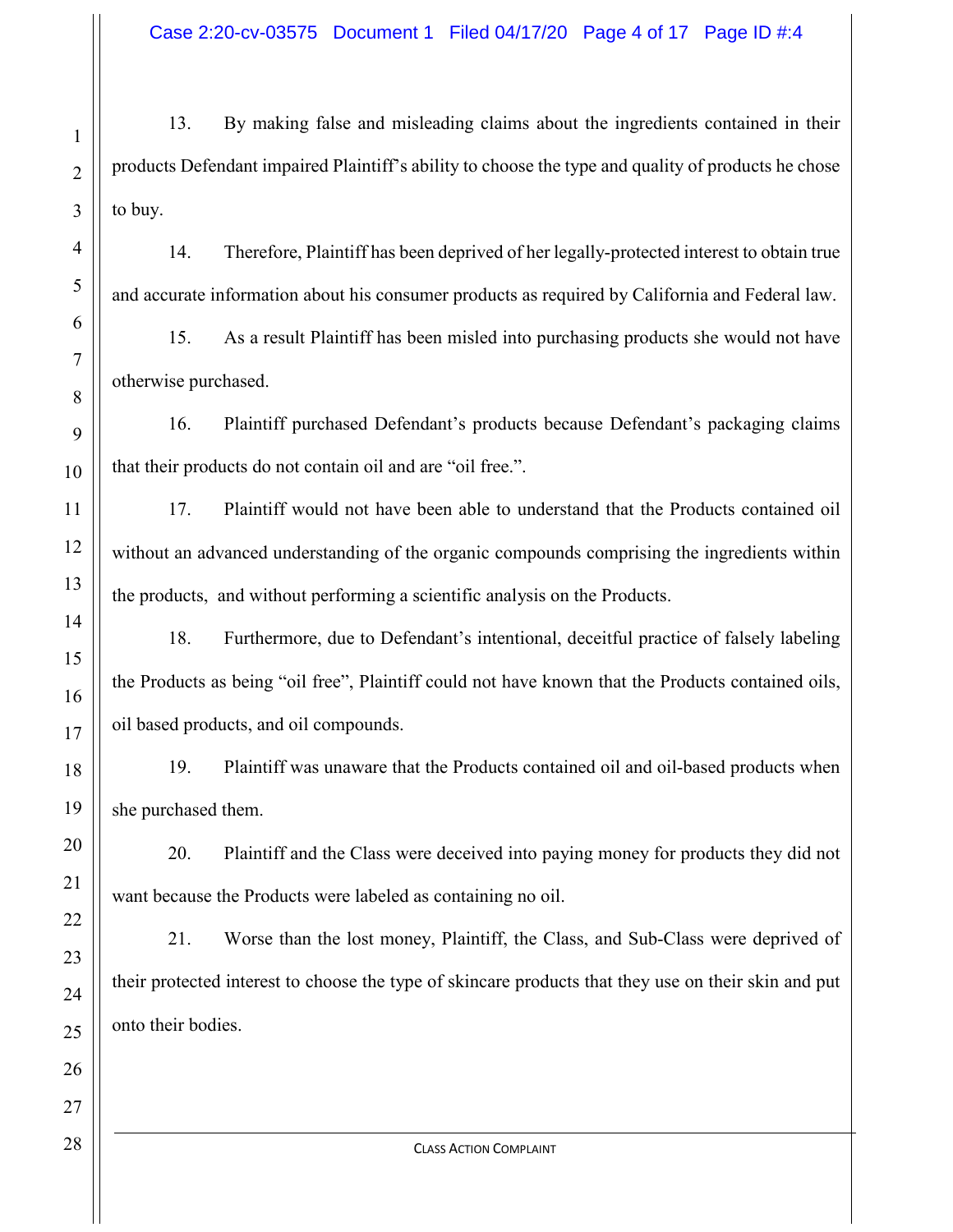Case 2:20-cv-03575 Document 1 Filed 04/17/20 Page 4 of 17 Page ID #:4

13. By making false and misleading claims about the ingredients contained in their products Defendant impaired Plaintiff's ability to choose the type and quality of products he chose to buy.

14. Therefore, Plaintiff has been deprived of her legally-protected interest to obtain true and accurate information about his consumer products as required by California and Federal law.

15. As a result Plaintiff has been misled into purchasing products she would not have otherwise purchased.

16. Plaintiff purchased Defendant's products because Defendant's packaging claims that their products do not contain oil and are "oil free.".

17. Plaintiff would not have been able to understand that the Products contained oil without an advanced understanding of the organic compounds comprising the ingredients within the products, and without performing a scientific analysis on the Products.

18. Furthermore, due to Defendant's intentional, deceitful practice of falsely labeling the Products as being "oil free", Plaintiff could not have known that the Products contained oils, oil based products, and oil compounds.

19. Plaintiff was unaware that the Products contained oil and oil-based products when she purchased them.

20. Plaintiff and the Class were deceived into paying money for products they did not want because the Products were labeled as containing no oil.

21. Worse than the lost money, Plaintiff, the Class, and Sub-Class were deprived of their protected interest to choose the type of skincare products that they use on their skin and put onto their bodies.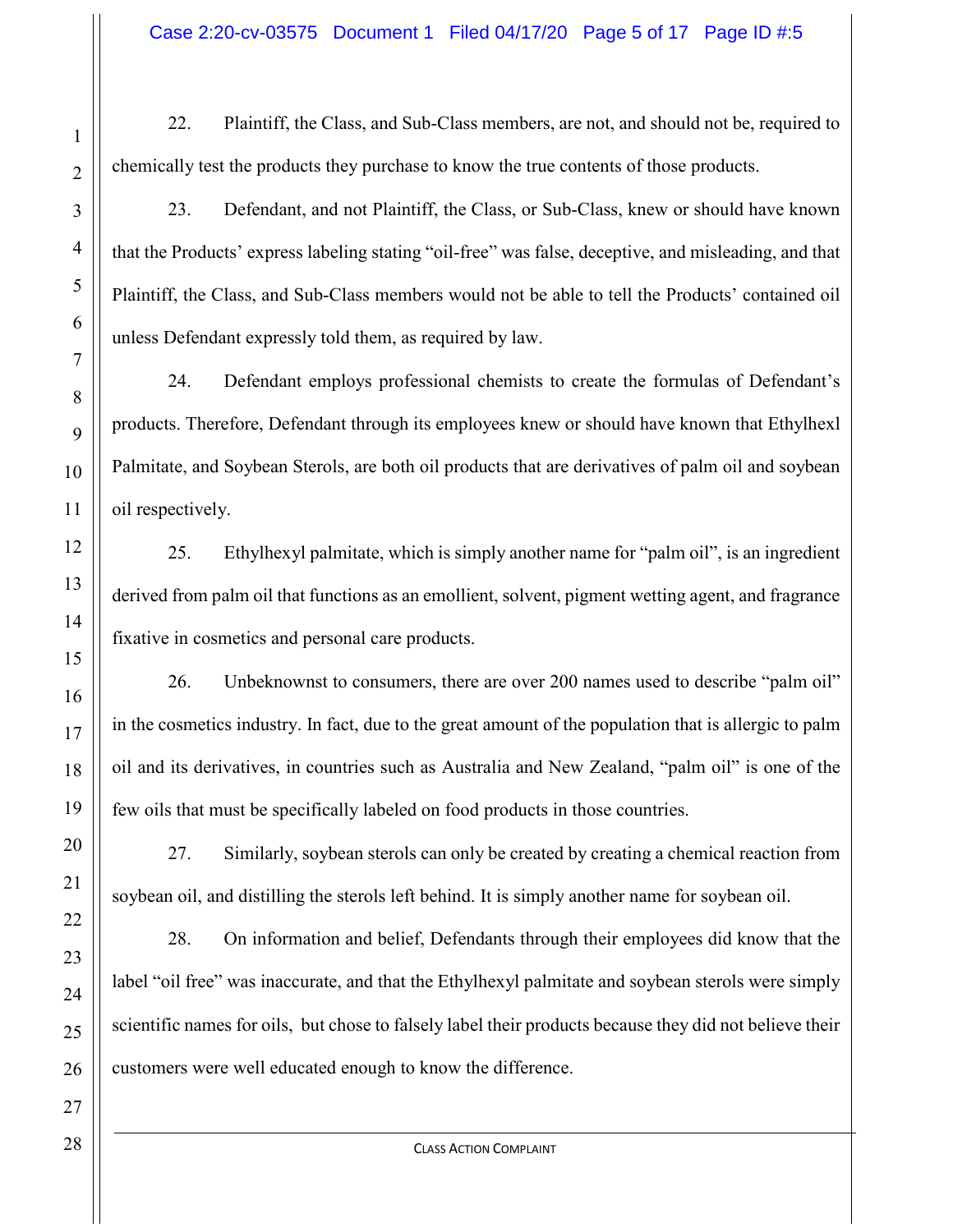22. Plaintiff, the Class, and Sub-Class members, are not, and should not be, required to chemically test the products they purchase to know the true contents of those products.

23. Defendant, and not Plaintiff, the Class, or Sub-Class, knew or should have known that the Products' express labeling stating "oil-free" was false, deceptive, and misleading, and that Plaintiff, the Class, and Sub-Class members would not be able to tell the Products' contained oil unless Defendant expressly told them, as required by law.

24. Defendant employs professional chemists to create the formulas of Defendant's products. Therefore, Defendant through its employees knew or should have known that Ethylhexl Palmitate, and Soybean Sterols, are both oil products that are derivatives of palm oil and soybean oil respectively.

25. Ethylhexyl palmitate, which is simply another name for "palm oil", is an ingredient derived from palm oil that functions as an emollient, solvent, pigment wetting agent, and fragrance fixative in cosmetics and personal care products.

26. Unbeknownst to consumers, there are over 200 names used to describe "palm oil" in the cosmetics industry. In fact, due to the great amount of the population that is allergic to palm oil and its derivatives, in countries such as Australia and New Zealand, "palm oil" is one of the few oils that must be specifically labeled on food products in those countries.

27. Similarly, soybean sterols can only be created by creating a chemical reaction from soybean oil, and distilling the sterols left behind. It is simply another name for soybean oil.

28. On information and belief, Defendants through their employees did know that the label "oil free" was inaccurate, and that the Ethylhexyl palmitate and soybean sterols were simply scientific names for oils, but chose to falsely label their products because they did not believe their customers were well educated enough to know the difference.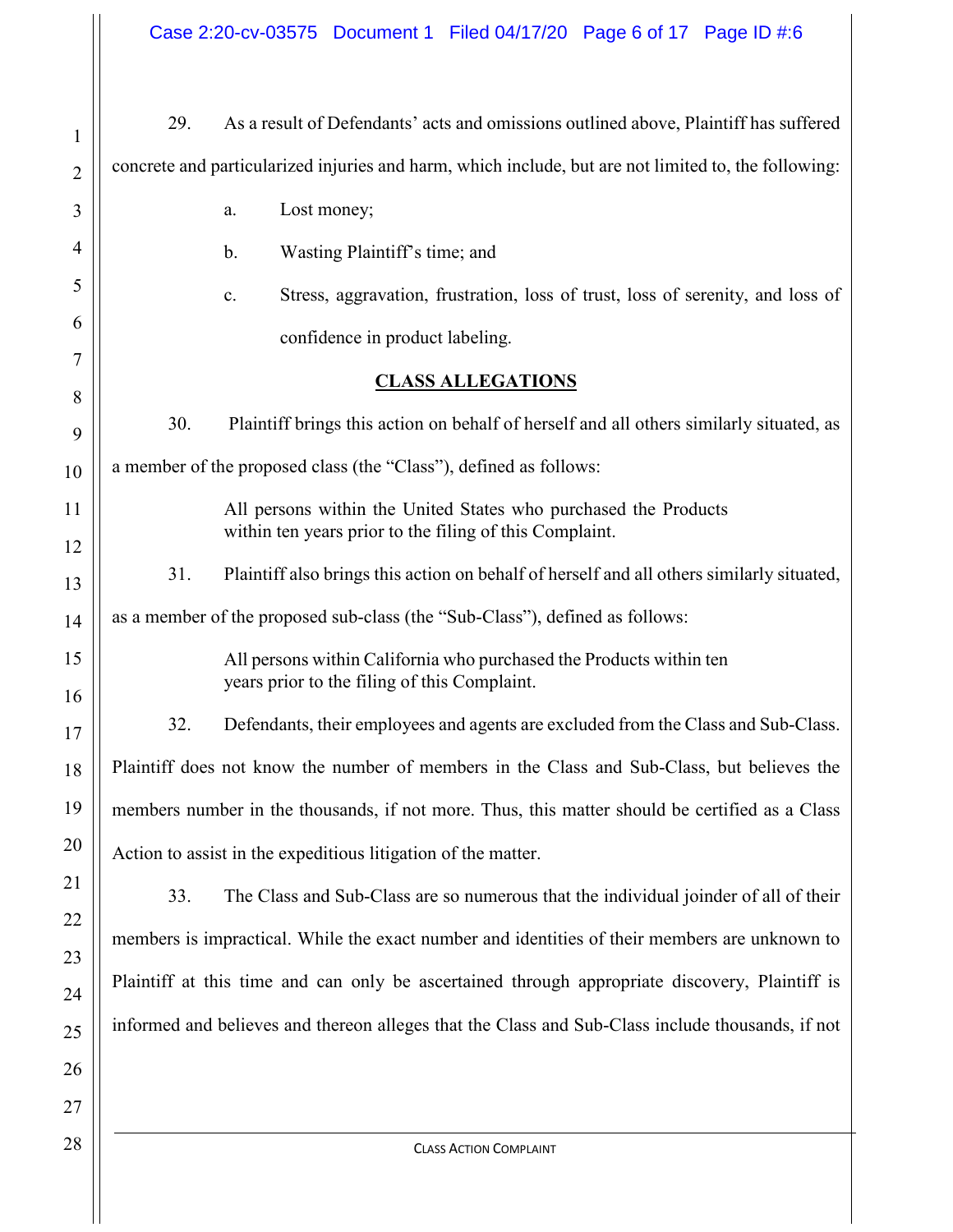Case 2:20-cv-03575 Document 1 Filed 04/17/20 Page 6 of 17 Page ID #:6

 $\mathbf{||}$ 

| $\mathbf{1}$   | As a result of Defendants' acts and omissions outlined above, Plaintiff has suffered<br>29.                         |  |  |
|----------------|---------------------------------------------------------------------------------------------------------------------|--|--|
| $\overline{2}$ | concrete and particularized injuries and harm, which include, but are not limited to, the following:                |  |  |
| 3              | Lost money;<br>a.                                                                                                   |  |  |
| 4              | Wasting Plaintiff's time; and<br>b.                                                                                 |  |  |
| 5              | Stress, aggravation, frustration, loss of trust, loss of serenity, and loss of<br>c.                                |  |  |
| 6              | confidence in product labeling.                                                                                     |  |  |
| 7              | <b>CLASS ALLEGATIONS</b>                                                                                            |  |  |
| 8<br>9         | 30.<br>Plaintiff brings this action on behalf of herself and all others similarly situated, as                      |  |  |
| 10             | a member of the proposed class (the "Class"), defined as follows:                                                   |  |  |
| 11             | All persons within the United States who purchased the Products                                                     |  |  |
| 12             | within ten years prior to the filing of this Complaint.                                                             |  |  |
| 13             | 31.<br>Plaintiff also brings this action on behalf of herself and all others similarly situated,                    |  |  |
| 14             | as a member of the proposed sub-class (the "Sub-Class"), defined as follows:                                        |  |  |
| 15             | All persons within California who purchased the Products within ten<br>years prior to the filing of this Complaint. |  |  |
| 16<br>17       | 32.<br>Defendants, their employees and agents are excluded from the Class and Sub-Class.                            |  |  |
| 18             | Plaintiff does not know the number of members in the Class and Sub-Class, but believes the                          |  |  |
| 19             | members number in the thousands, if not more. Thus, this matter should be certified as a Class                      |  |  |
| 20             | Action to assist in the expeditious litigation of the matter.                                                       |  |  |
| 21             | The Class and Sub-Class are so numerous that the individual joinder of all of their<br>33.                          |  |  |
| 22             | members is impractical. While the exact number and identities of their members are unknown to                       |  |  |
| 23             |                                                                                                                     |  |  |
| 24             | Plaintiff at this time and can only be ascertained through appropriate discovery, Plaintiff is                      |  |  |
| 25             | informed and believes and thereon alleges that the Class and Sub-Class include thousands, if not                    |  |  |
| 26             |                                                                                                                     |  |  |
| 27             |                                                                                                                     |  |  |
| 28             | <b>CLASS ACTION COMPLAINT</b>                                                                                       |  |  |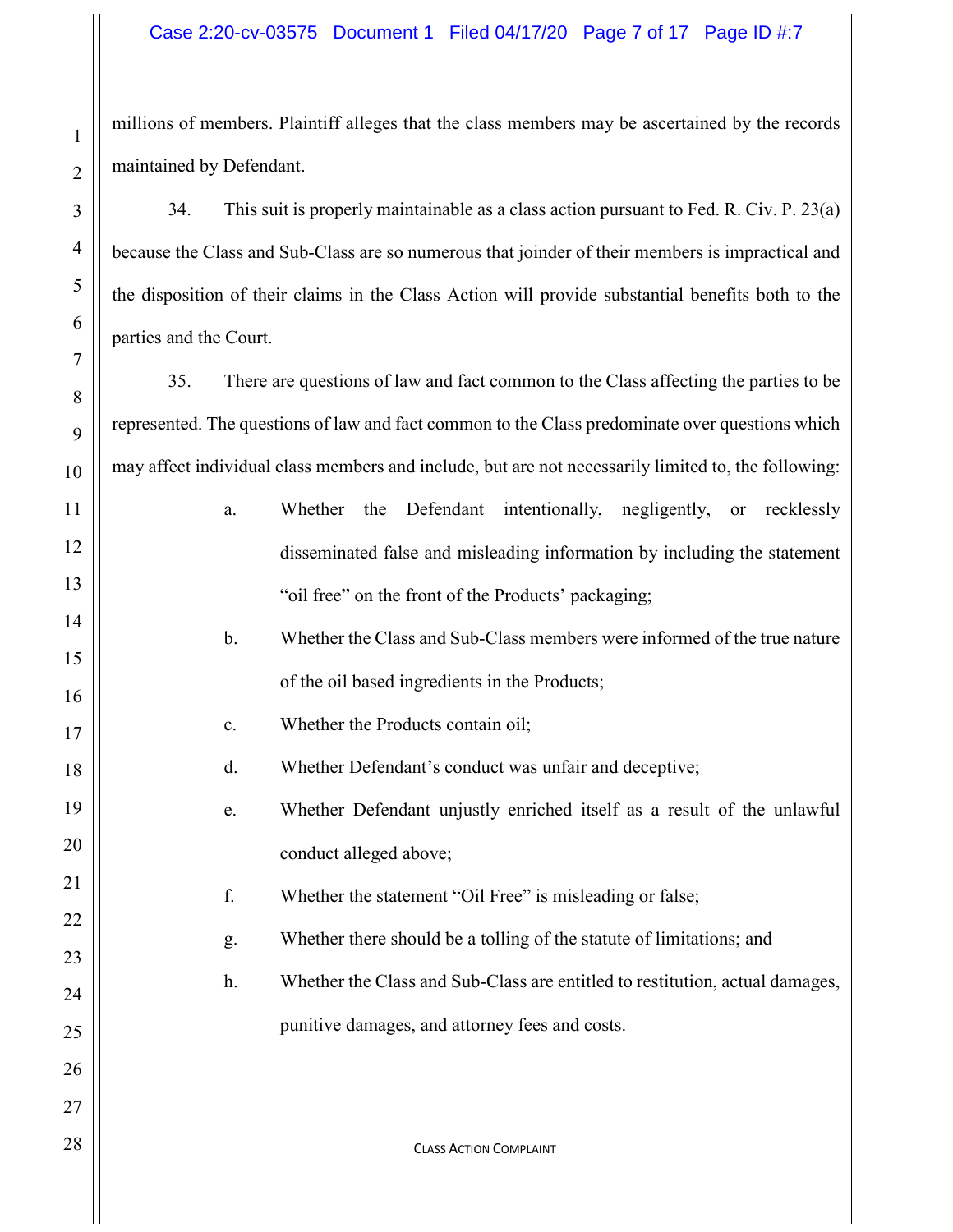## Case 2:20-cv-03575 Document 1 Filed 04/17/20 Page 7 of 17 Page ID #:7

millions of members. Plaintiff alleges that the class members may be ascertained by the records maintained by Defendant.

34. This suit is properly maintainable as a class action pursuant to Fed. R. Civ. P. 23(a) because the Class and Sub-Class are so numerous that joinder of their members is impractical and the disposition of their claims in the Class Action will provide substantial benefits both to the parties and the Court.

35. There are questions of law and fact common to the Class affecting the parties to be represented. The questions of law and fact common to the Class predominate over questions which may affect individual class members and include, but are not necessarily limited to, the following:

| 1                   | a.             | Defendant<br>intentionally,<br>negligently,<br>Whether<br>the<br>recklessly<br><b>or</b> |
|---------------------|----------------|------------------------------------------------------------------------------------------|
| $\overline{c}$      |                | disseminated false and misleading information by including the statement                 |
| 3                   |                | "oil free" on the front of the Products' packaging;                                      |
| 4                   | $\mathbf{b}$ . | Whether the Class and Sub-Class members were informed of the true nature                 |
| 5                   |                | of the oil based ingredients in the Products;                                            |
| 6                   | c.             | Whether the Products contain oil;                                                        |
| 7                   |                |                                                                                          |
| 8                   | d.             | Whether Defendant's conduct was unfair and deceptive;                                    |
| 9                   | e.             | Whether Defendant unjustly enriched itself as a result of the unlawful                   |
| $\overline{0}$      |                | conduct alleged above;                                                                   |
| 1                   | f.             | Whether the statement "Oil Free" is misleading or false;                                 |
| $\overline{c}$<br>3 | g.             | Whether there should be a tolling of the statute of limitations; and                     |
| 4                   | h.             | Whether the Class and Sub-Class are entitled to restitution, actual damages,             |
| 5                   |                | punitive damages, and attorney fees and costs.                                           |
| 6                   |                |                                                                                          |
| 7                   |                |                                                                                          |
| 8                   |                | <b>CLASS ACTION COMPLAINT</b>                                                            |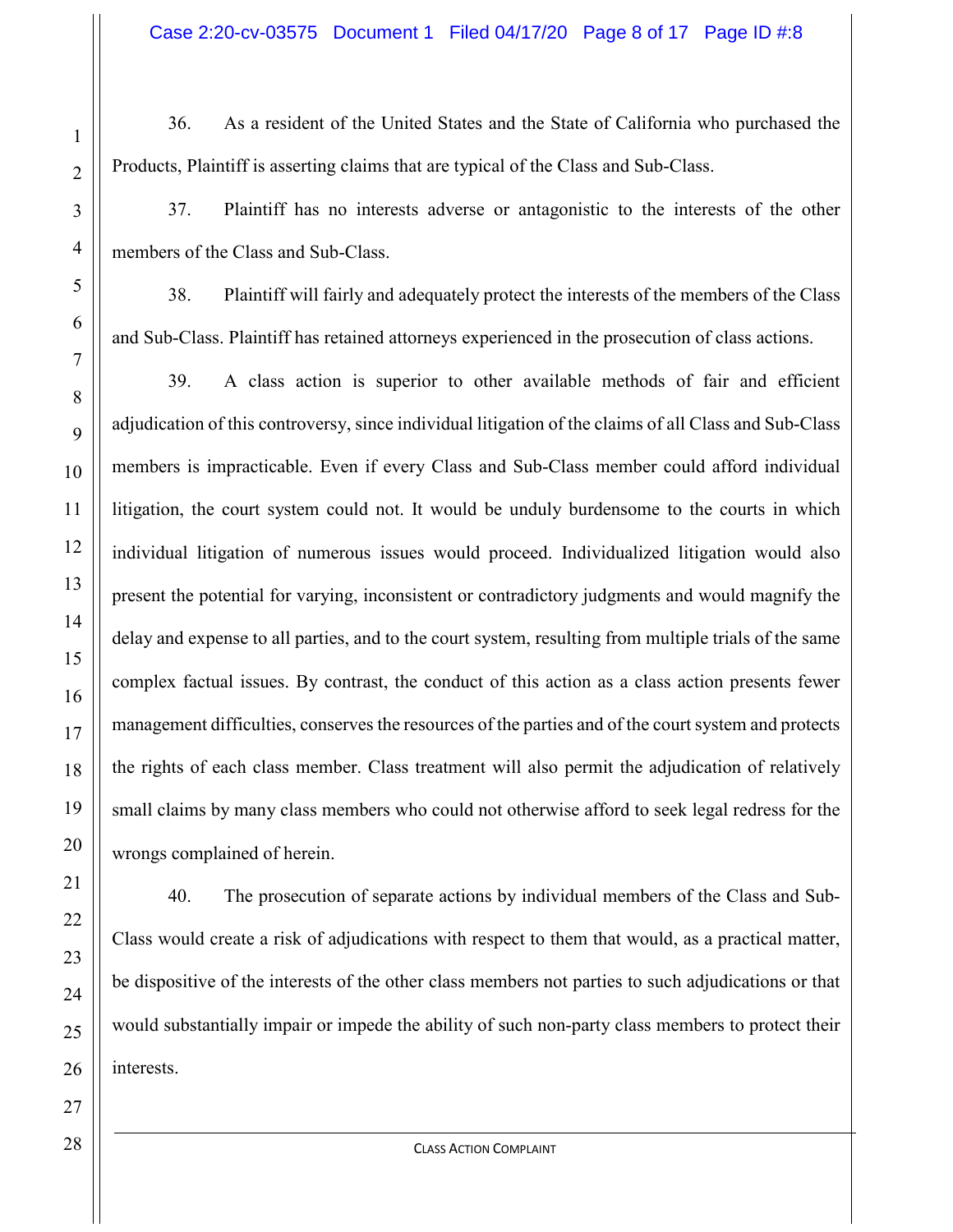36. As a resident of the United States and the State of California who purchased the Products, Plaintiff is asserting claims that are typical of the Class and Sub-Class.

37. Plaintiff has no interests adverse or antagonistic to the interests of the other members of the Class and Sub-Class.

38. Plaintiff will fairly and adequately protect the interests of the members of the Class and Sub-Class. Plaintiff has retained attorneys experienced in the prosecution of class actions.

39. A class action is superior to other available methods of fair and efficient adjudication of this controversy, since individual litigation of the claims of all Class and Sub-Class members is impracticable. Even if every Class and Sub-Class member could afford individual litigation, the court system could not. It would be unduly burdensome to the courts in which individual litigation of numerous issues would proceed. Individualized litigation would also present the potential for varying, inconsistent or contradictory judgments and would magnify the delay and expense to all parties, and to the court system, resulting from multiple trials of the same complex factual issues. By contrast, the conduct of this action as a class action presents fewer management difficulties, conserves the resources of the parties and of the court system and protects the rights of each class member. Class treatment will also permit the adjudication of relatively small claims by many class members who could not otherwise afford to seek legal redress for the wrongs complained of herein.

40. The prosecution of separate actions by individual members of the Class and Sub-Class would create a risk of adjudications with respect to them that would, as a practical matter, be dispositive of the interests of the other class members not parties to such adjudications or that would substantially impair or impede the ability of such non-party class members to protect their interests.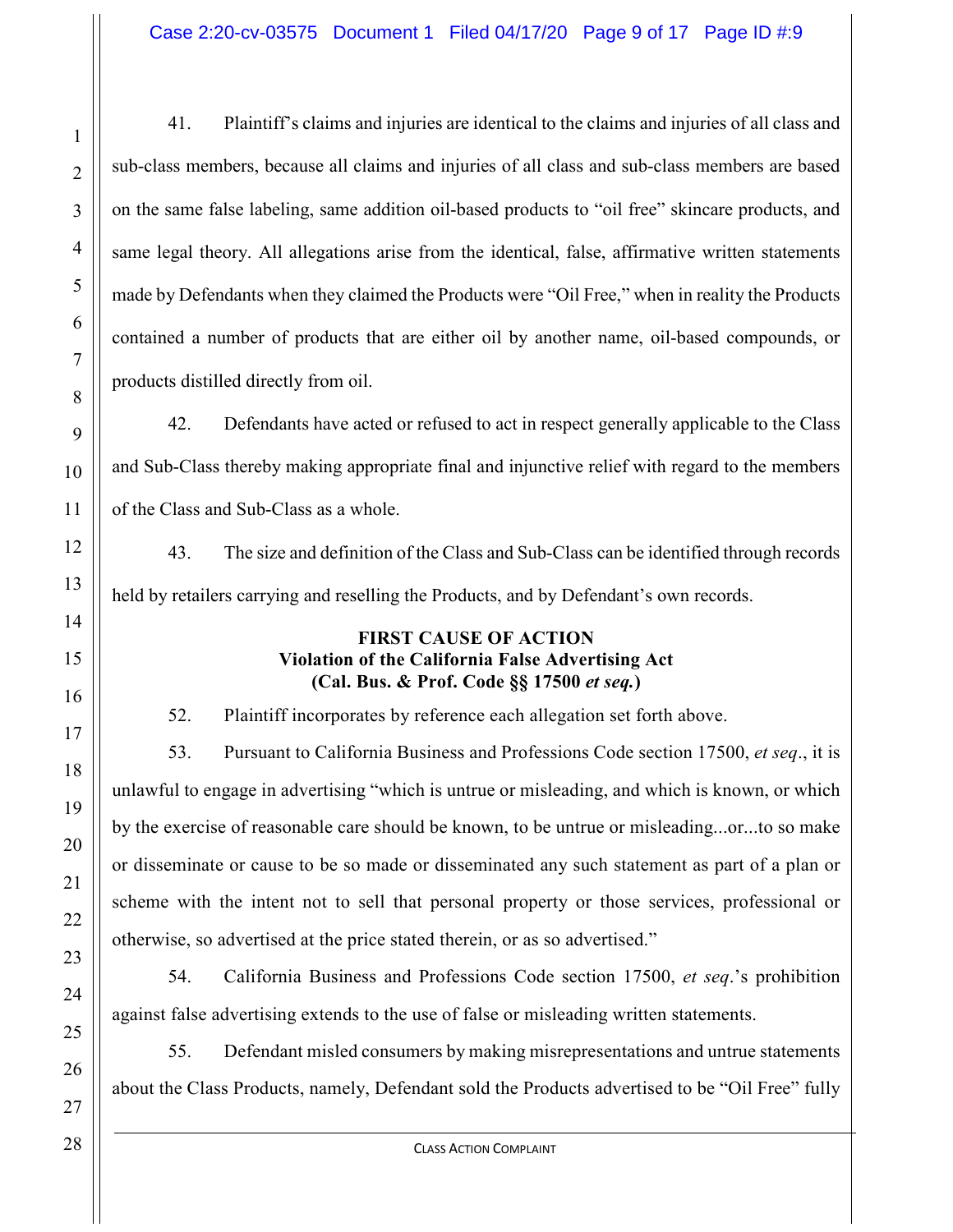41. Plaintiff's claims and injuries are identical to the claims and injuries of all class and sub-class members, because all claims and injuries of all class and sub-class members are based on the same false labeling, same addition oil-based products to "oil free" skincare products, and same legal theory. All allegations arise from the identical, false, affirmative written statements made by Defendants when they claimed the Products were "Oil Free," when in reality the Products contained a number of products that are either oil by another name, oil-based compounds, or products distilled directly from oil.

42. Defendants have acted or refused to act in respect generally applicable to the Class and Sub-Class thereby making appropriate final and injunctive relief with regard to the members of the Class and Sub-Class as a whole.

43. The size and definition of the Class and Sub-Class can be identified through records held by retailers carrying and reselling the Products, and by Defendant's own records.

### **FIRST CAUSE OF ACTION Violation of the California False Advertising Act (Cal. Bus. & Prof. Code §§ 17500** *et seq.***)**

52. Plaintiff incorporates by reference each allegation set forth above.

53. Pursuant to California Business and Professions Code section 17500, *et seq*., it is unlawful to engage in advertising "which is untrue or misleading, and which is known, or which by the exercise of reasonable care should be known, to be untrue or misleading...or...to so make or disseminate or cause to be so made or disseminated any such statement as part of a plan or scheme with the intent not to sell that personal property or those services, professional or otherwise, so advertised at the price stated therein, or as so advertised."

54. California Business and Professions Code section 17500, *et seq*.'s prohibition against false advertising extends to the use of false or misleading written statements.

55. Defendant misled consumers by making misrepresentations and untrue statements about the Class Products, namely, Defendant sold the Products advertised to be "Oil Free" fully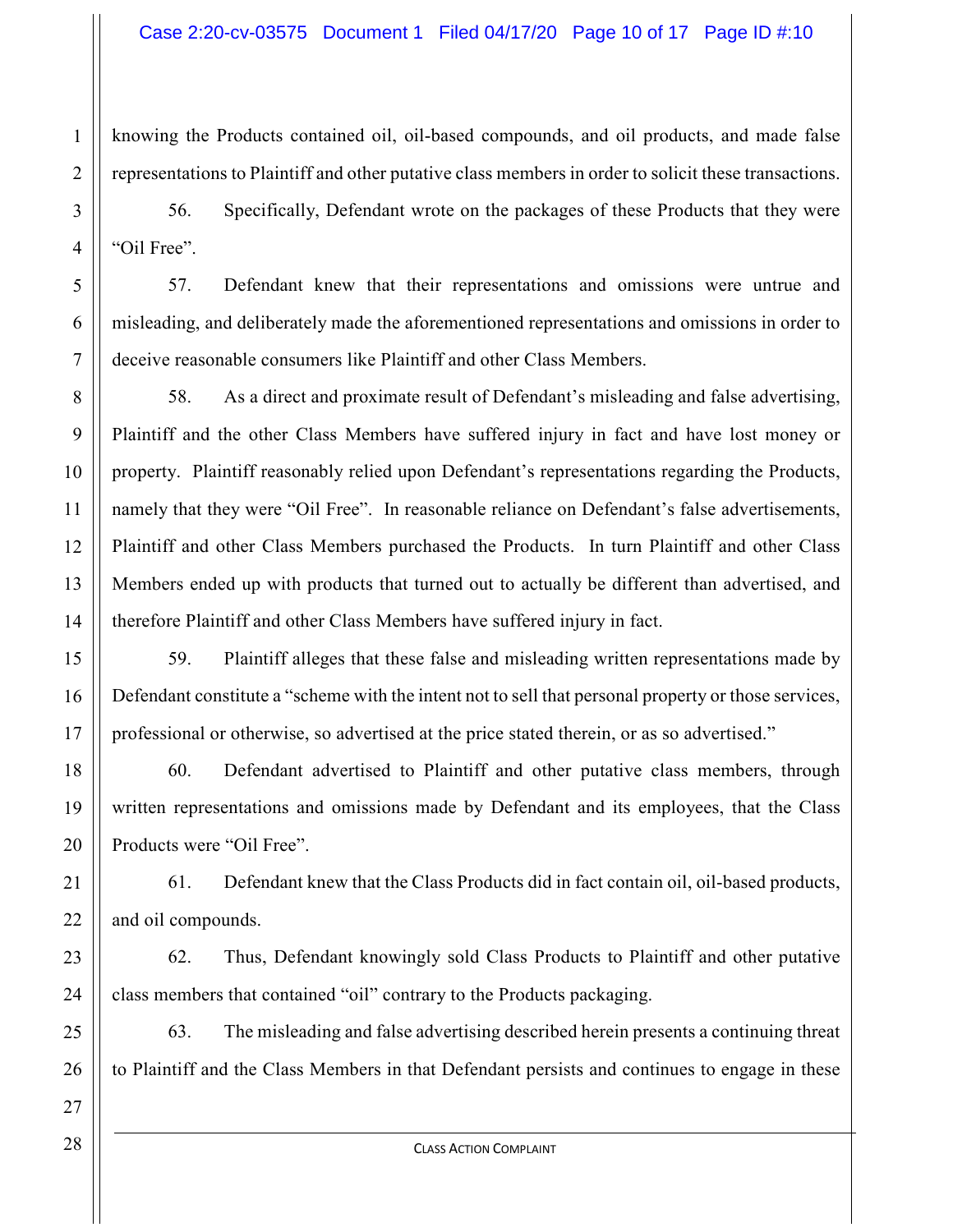knowing the Products contained oil, oil-based compounds, and oil products, and made false representations to Plaintiff and other putative class members in order to solicit these transactions.

56. Specifically, Defendant wrote on the packages of these Products that they were "Oil Free".

57. Defendant knew that their representations and omissions were untrue and misleading, and deliberately made the aforementioned representations and omissions in order to deceive reasonable consumers like Plaintiff and other Class Members.

58. As a direct and proximate result of Defendant's misleading and false advertising, Plaintiff and the other Class Members have suffered injury in fact and have lost money or property. Plaintiff reasonably relied upon Defendant's representations regarding the Products, namely that they were "Oil Free". In reasonable reliance on Defendant's false advertisements, Plaintiff and other Class Members purchased the Products. In turn Plaintiff and other Class Members ended up with products that turned out to actually be different than advertised, and therefore Plaintiff and other Class Members have suffered injury in fact.

59. Plaintiff alleges that these false and misleading written representations made by Defendant constitute a "scheme with the intent not to sell that personal property or those services, professional or otherwise, so advertised at the price stated therein, or as so advertised."

60. Defendant advertised to Plaintiff and other putative class members, through written representations and omissions made by Defendant and its employees, that the Class Products were "Oil Free".

61. Defendant knew that the Class Products did in fact contain oil, oil-based products, and oil compounds.

62. Thus, Defendant knowingly sold Class Products to Plaintiff and other putative class members that contained "oil" contrary to the Products packaging.

63. The misleading and false advertising described herein presents a continuing threat to Plaintiff and the Class Members in that Defendant persists and continues to engage in these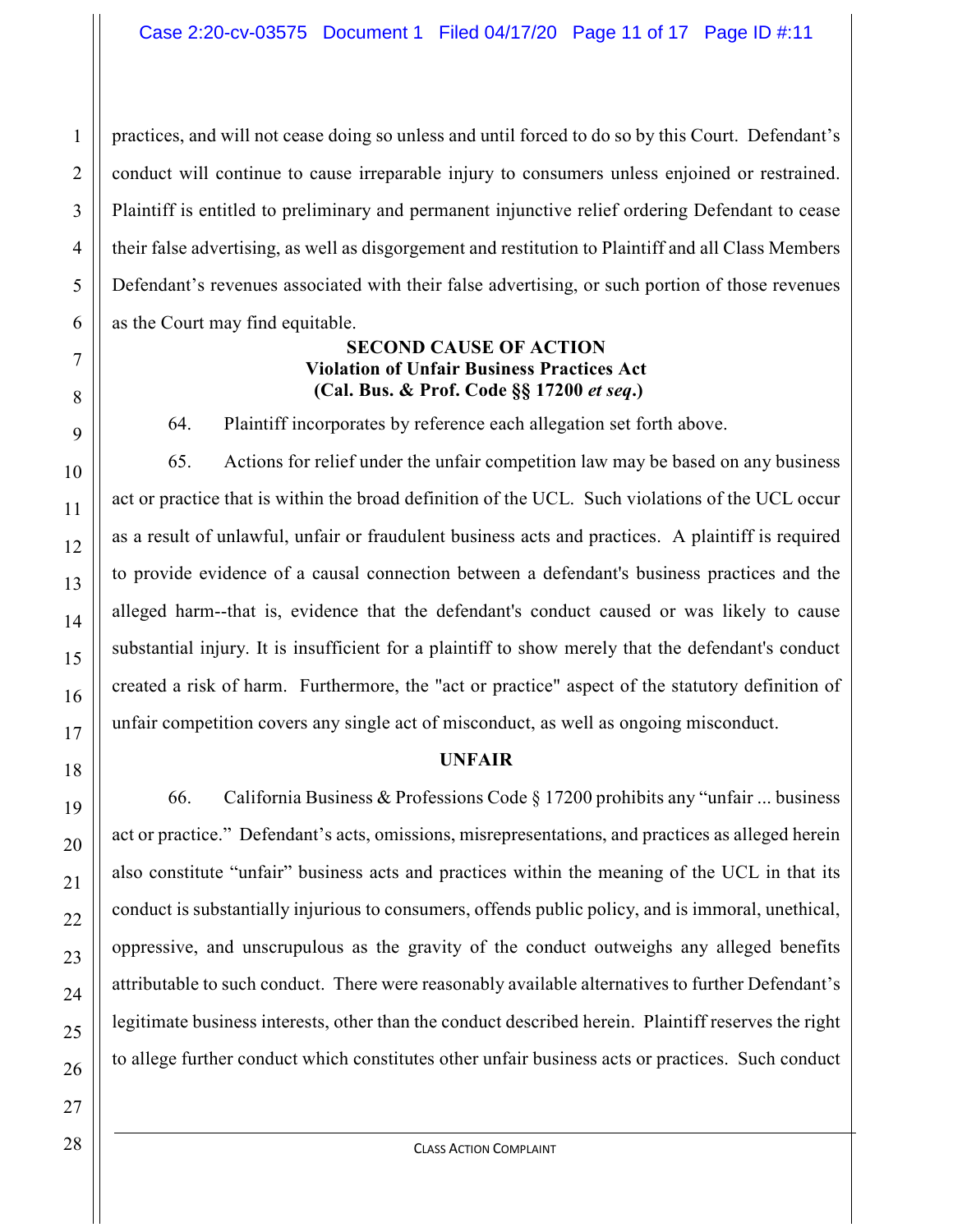practices, and will not cease doing so unless and until forced to do so by this Court. Defendant's conduct will continue to cause irreparable injury to consumers unless enjoined or restrained. Plaintiff is entitled to preliminary and permanent injunctive relief ordering Defendant to cease their false advertising, as well as disgorgement and restitution to Plaintiff and all Class Members Defendant's revenues associated with their false advertising, or such portion of those revenues as the Court may find equitable.

## **SECOND CAUSE OF ACTION Violation of Unfair Business Practices Act (Cal. Bus. & Prof. Code §§ 17200** *et seq***.)**

64. Plaintiff incorporates by reference each allegation set forth above.

65. Actions for relief under the unfair competition law may be based on any business act or practice that is within the broad definition of the UCL. Such violations of the UCL occur as a result of unlawful, unfair or fraudulent business acts and practices. A plaintiff is required to provide evidence of a causal connection between a defendant's business practices and the alleged harm--that is, evidence that the defendant's conduct caused or was likely to cause substantial injury. It is insufficient for a plaintiff to show merely that the defendant's conduct created a risk of harm. Furthermore, the "act or practice" aspect of the statutory definition of unfair competition covers any single act of misconduct, as well as ongoing misconduct.

### **UNFAIR**

66. California Business & Professions Code § 17200 prohibits any "unfair ... business act or practice." Defendant's acts, omissions, misrepresentations, and practices as alleged herein also constitute "unfair" business acts and practices within the meaning of the UCL in that its conduct is substantially injurious to consumers, offends public policy, and is immoral, unethical, oppressive, and unscrupulous as the gravity of the conduct outweighs any alleged benefits attributable to such conduct. There were reasonably available alternatives to further Defendant's legitimate business interests, other than the conduct described herein. Plaintiff reserves the right to allege further conduct which constitutes other unfair business acts or practices. Such conduct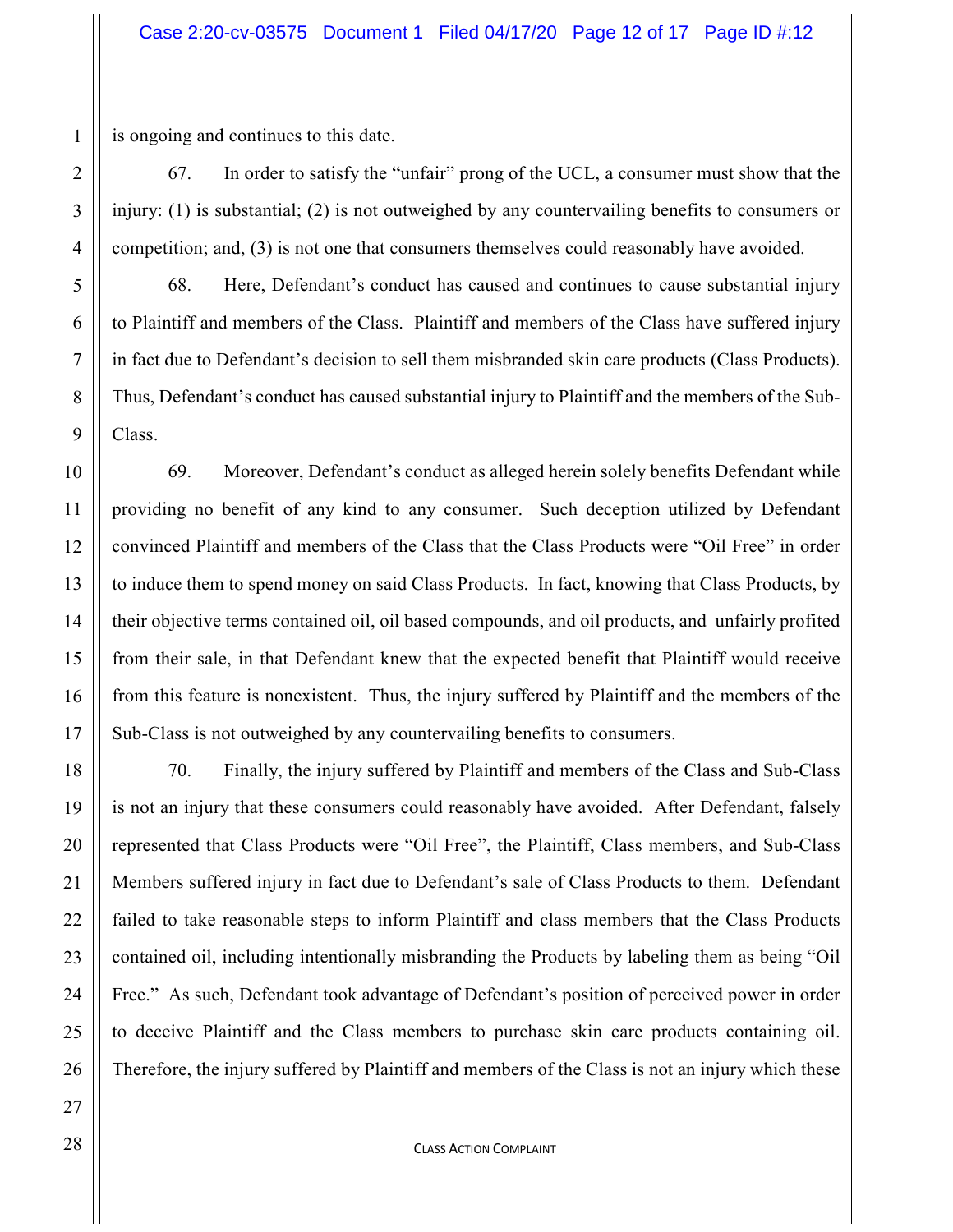is ongoing and continues to this date.

67. In order to satisfy the "unfair" prong of the UCL, a consumer must show that the injury: (1) is substantial; (2) is not outweighed by any countervailing benefits to consumers or competition; and, (3) is not one that consumers themselves could reasonably have avoided.

68. Here, Defendant's conduct has caused and continues to cause substantial injury to Plaintiff and members of the Class. Plaintiff and members of the Class have suffered injury in fact due to Defendant's decision to sell them misbranded skin care products (Class Products). Thus, Defendant's conduct has caused substantial injury to Plaintiff and the members of the Sub-Class.

69. Moreover, Defendant's conduct as alleged herein solely benefits Defendant while providing no benefit of any kind to any consumer. Such deception utilized by Defendant convinced Plaintiff and members of the Class that the Class Products were "Oil Free" in order to induce them to spend money on said Class Products. In fact, knowing that Class Products, by their objective terms contained oil, oil based compounds, and oil products, and unfairly profited from their sale, in that Defendant knew that the expected benefit that Plaintiff would receive from this feature is nonexistent. Thus, the injury suffered by Plaintiff and the members of the Sub-Class is not outweighed by any countervailing benefits to consumers.

70. Finally, the injury suffered by Plaintiff and members of the Class and Sub-Class is not an injury that these consumers could reasonably have avoided. After Defendant, falsely represented that Class Products were "Oil Free", the Plaintiff, Class members, and Sub-Class Members suffered injury in fact due to Defendant's sale of Class Products to them. Defendant failed to take reasonable steps to inform Plaintiff and class members that the Class Products contained oil, including intentionally misbranding the Products by labeling them as being "Oil Free." As such, Defendant took advantage of Defendant's position of perceived power in order to deceive Plaintiff and the Class members to purchase skin care products containing oil. Therefore, the injury suffered by Plaintiff and members of the Class is not an injury which these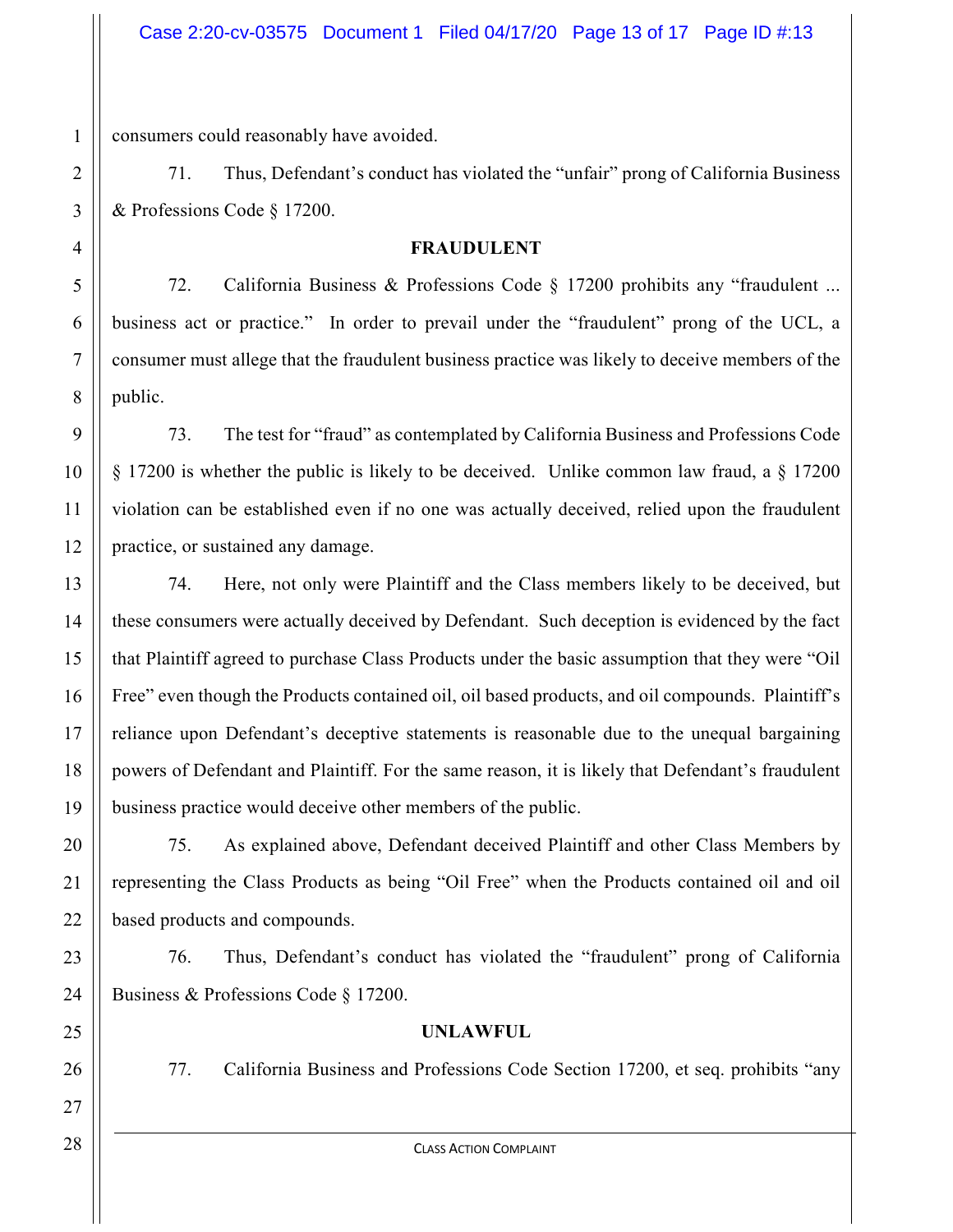consumers could reasonably have avoided.

71. Thus, Defendant's conduct has violated the "unfair" prong of California Business & Professions Code § 17200.

#### **FRAUDULENT**

72. California Business & Professions Code § 17200 prohibits any "fraudulent ... business act or practice." In order to prevail under the "fraudulent" prong of the UCL, a consumer must allege that the fraudulent business practice was likely to deceive members of the public.

73. The test for "fraud" as contemplated by California Business and Professions Code § 17200 is whether the public is likely to be deceived. Unlike common law fraud, a § 17200 violation can be established even if no one was actually deceived, relied upon the fraudulent practice, or sustained any damage.

74. Here, not only were Plaintiff and the Class members likely to be deceived, but these consumers were actually deceived by Defendant. Such deception is evidenced by the fact that Plaintiff agreed to purchase Class Products under the basic assumption that they were "Oil Free" even though the Products contained oil, oil based products, and oil compounds. Plaintiff's reliance upon Defendant's deceptive statements is reasonable due to the unequal bargaining powers of Defendant and Plaintiff. For the same reason, it is likely that Defendant's fraudulent business practice would deceive other members of the public.

75. As explained above, Defendant deceived Plaintiff and other Class Members by representing the Class Products as being "Oil Free" when the Products contained oil and oil based products and compounds.

76. Thus, Defendant's conduct has violated the "fraudulent" prong of California Business & Professions Code § 17200.

# **UNLAWFUL**

77. California Business and Professions Code Section 17200, et seq. prohibits "any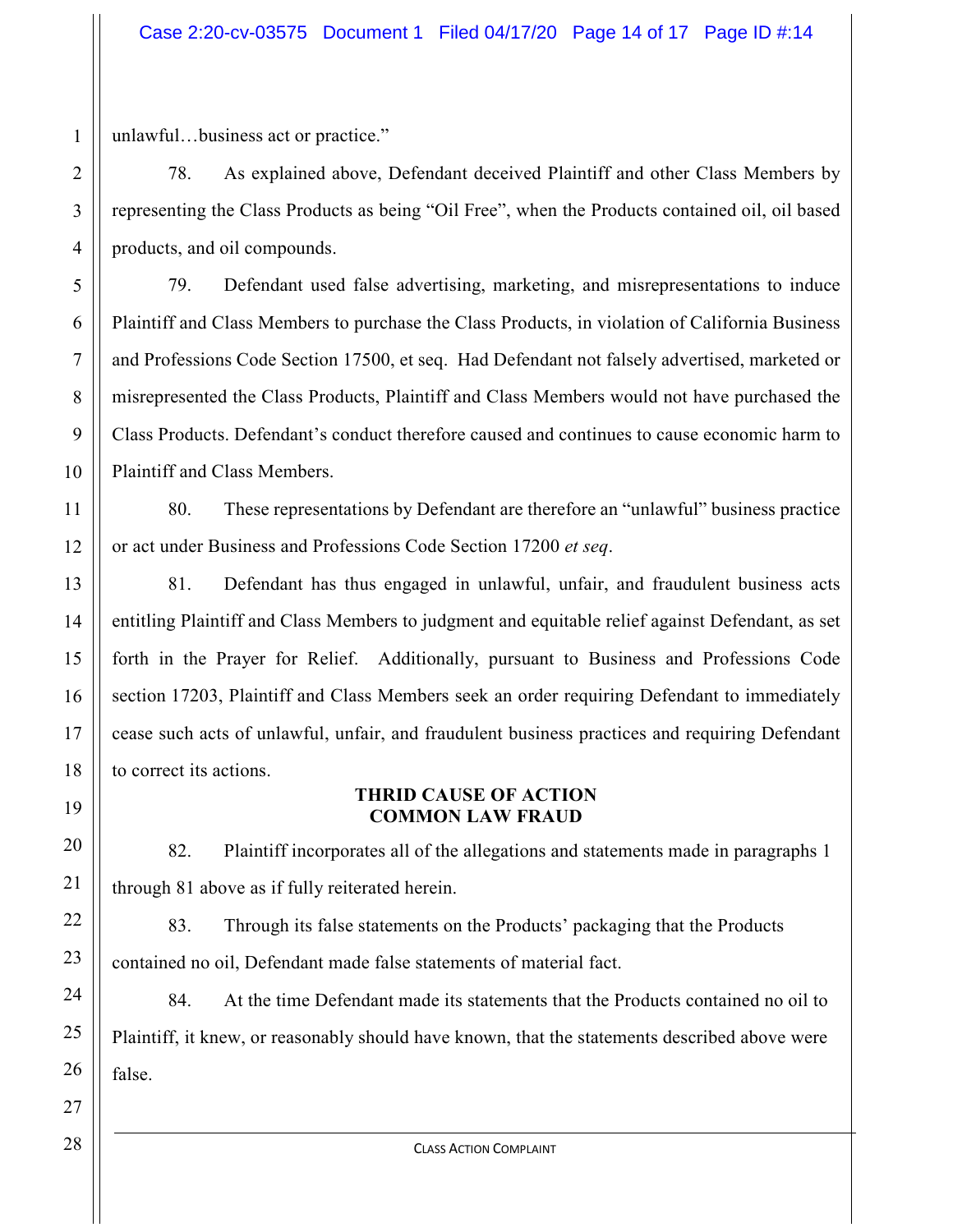unlawful…business act or practice."

78. As explained above, Defendant deceived Plaintiff and other Class Members by representing the Class Products as being "Oil Free", when the Products contained oil, oil based products, and oil compounds.

79. Defendant used false advertising, marketing, and misrepresentations to induce Plaintiff and Class Members to purchase the Class Products, in violation of California Business and Professions Code Section 17500, et seq. Had Defendant not falsely advertised, marketed or misrepresented the Class Products, Plaintiff and Class Members would not have purchased the Class Products. Defendant's conduct therefore caused and continues to cause economic harm to Plaintiff and Class Members.

80. These representations by Defendant are therefore an "unlawful" business practice or act under Business and Professions Code Section 17200 *et seq*.

81. Defendant has thus engaged in unlawful, unfair, and fraudulent business acts entitling Plaintiff and Class Members to judgment and equitable relief against Defendant, as set forth in the Prayer for Relief. Additionally, pursuant to Business and Professions Code section 17203, Plaintiff and Class Members seek an order requiring Defendant to immediately cease such acts of unlawful, unfair, and fraudulent business practices and requiring Defendant to correct its actions.

### **THRID CAUSE OF ACTION COMMON LAW FRAUD**

82. Plaintiff incorporates all of the allegations and statements made in paragraphs 1 through 81 above as if fully reiterated herein.

83. Through its false statements on the Products' packaging that the Products contained no oil, Defendant made false statements of material fact.

84. At the time Defendant made its statements that the Products contained no oil to Plaintiff, it knew, or reasonably should have known, that the statements described above were false.

1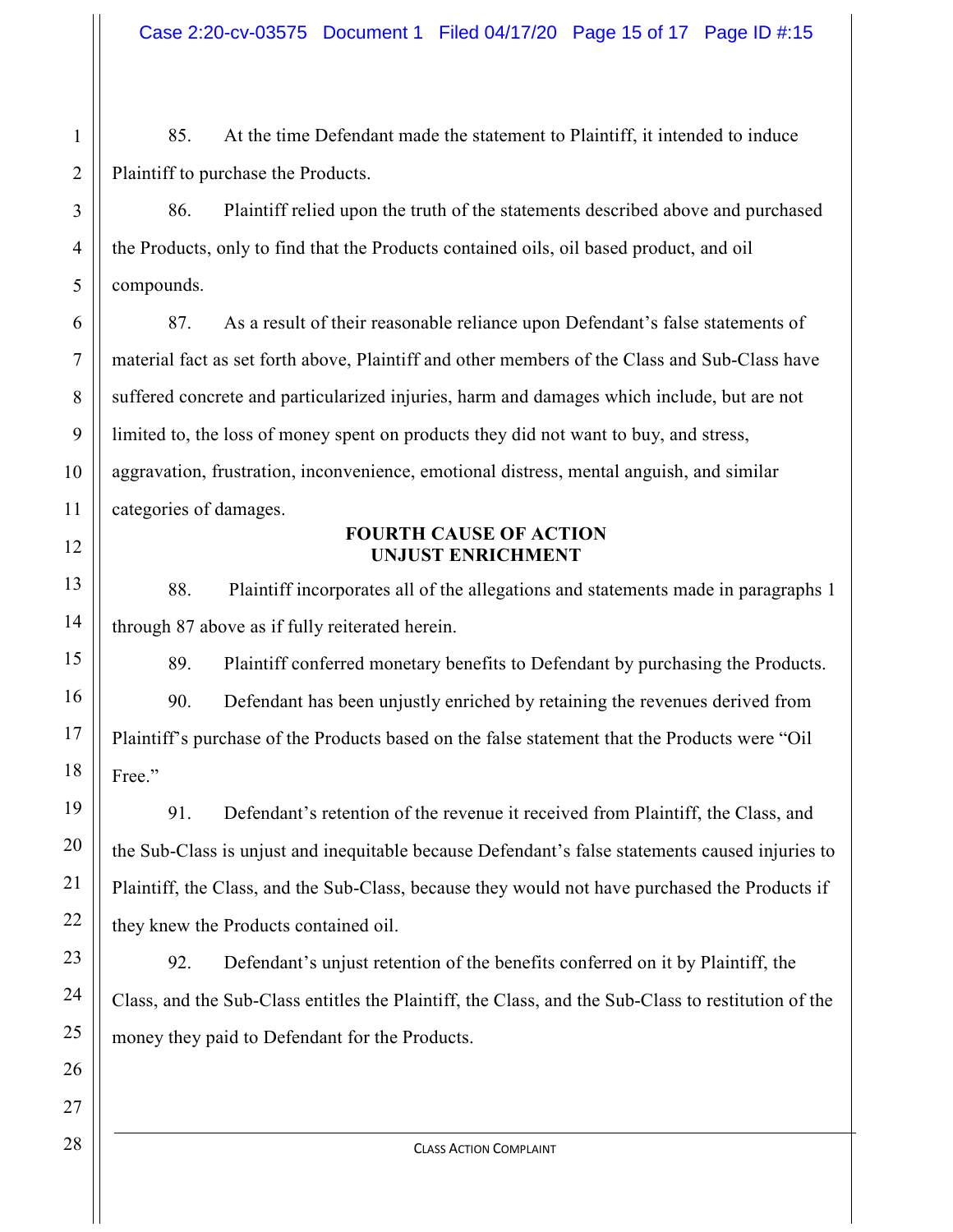85. At the time Defendant made the statement to Plaintiff, it intended to induce Plaintiff to purchase the Products.

86. Plaintiff relied upon the truth of the statements described above and purchased the Products, only to find that the Products contained oils, oil based product, and oil compounds.

87. As a result of their reasonable reliance upon Defendant's false statements of material fact as set forth above, Plaintiff and other members of the Class and Sub-Class have suffered concrete and particularized injuries, harm and damages which include, but are not limited to, the loss of money spent on products they did not want to buy, and stress, aggravation, frustration, inconvenience, emotional distress, mental anguish, and similar categories of damages.

#### **FOURTH CAUSE OF ACTION UNJUST ENRICHMENT**

88. Plaintiff incorporates all of the allegations and statements made in paragraphs 1 through 87 above as if fully reiterated herein.

89. Plaintiff conferred monetary benefits to Defendant by purchasing the Products.

90. Defendant has been unjustly enriched by retaining the revenues derived from Plaintiff's purchase of the Products based on the false statement that the Products were "Oil Free."

91. Defendant's retention of the revenue it received from Plaintiff, the Class, and the Sub-Class is unjust and inequitable because Defendant's false statements caused injuries to Plaintiff, the Class, and the Sub-Class, because they would not have purchased the Products if they knew the Products contained oil.

92. Defendant's unjust retention of the benefits conferred on it by Plaintiff, the Class, and the Sub-Class entitles the Plaintiff, the Class, and the Sub-Class to restitution of the money they paid to Defendant for the Products.

1

2

3

4

5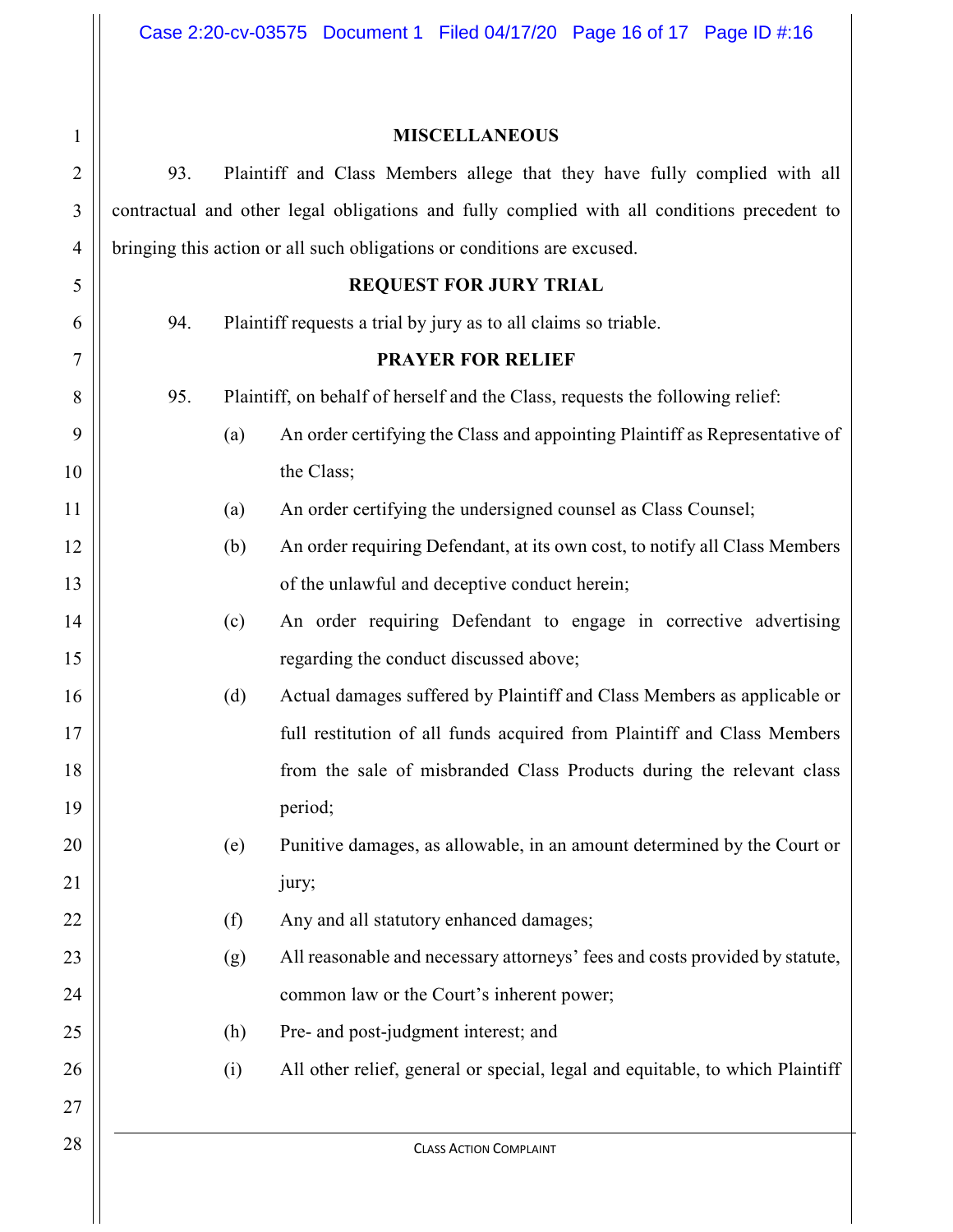# 1 2 3 4 5 6 7 8 9 10 11 12 13 14 15 16 17 18 19 20 21 22 23 24 25 26

| <b>MISCELLANEOUS</b> |
|----------------------|
|----------------------|

93. Plaintiff and Class Members allege that they have fully complied with all contractual and other legal obligations and fully complied with all conditions precedent to bringing this action or all such obligations or conditions are excused.

## **REQUEST FOR JURY TRIAL**

94. Plaintiff requests a trial by jury as to all claims so triable.

## **PRAYER FOR RELIEF**

95. Plaintiff, on behalf of herself and the Class, requests the following relief:

- (a) An order certifying the Class and appointing Plaintiff as Representative of the Class;
- (a) An order certifying the undersigned counsel as Class Counsel;
- (b) An order requiring Defendant, at its own cost, to notify all Class Members of the unlawful and deceptive conduct herein;
	- (c) An order requiring Defendant to engage in corrective advertising regarding the conduct discussed above;
- (d) Actual damages suffered by Plaintiff and Class Members as applicable or full restitution of all funds acquired from Plaintiff and Class Members from the sale of misbranded Class Products during the relevant class period;
- (e) Punitive damages, as allowable, in an amount determined by the Court or jury;
	- (f) Any and all statutory enhanced damages;
	- (g) All reasonable and necessary attorneys' fees and costs provided by statute, common law or the Court's inherent power;
		- (h) Pre- and post-judgment interest; and
		- (i) All other relief, general or special, legal and equitable, to which Plaintiff